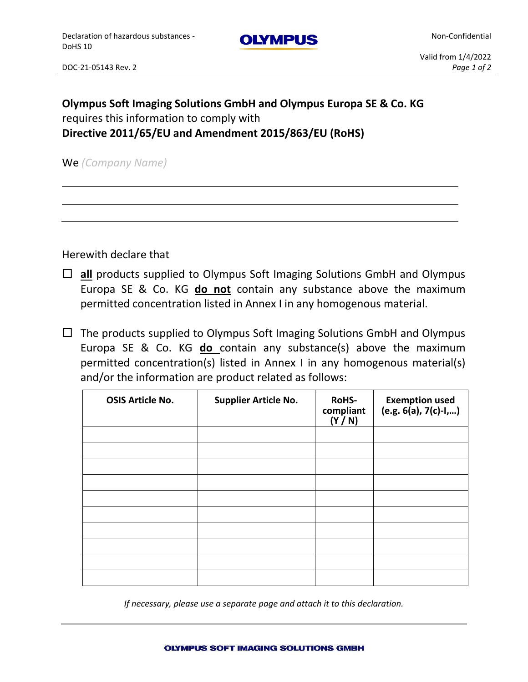**OLYMPUS** 

Non-Confidential

## **Olympus Soft Imaging Solutions GmbH and Olympus Europa SE & Co. KG** requires this information to comply with **Directive 2011/65/EU and Amendment 2015/863/EU (RoHS)**

We *(Company Name)*

Herewith declare that

- **all** products supplied to Olympus Soft Imaging Solutions GmbH and Olympus Europa SE & Co. KG **do not** contain any substance above the maximum permitted concentration listed in Annex I in any homogenous material.
- $\Box$  The products supplied to Olympus Soft Imaging Solutions GmbH and Olympus Europa SE & Co. KG **do** contain any substance(s) above the maximum permitted concentration(s) listed in Annex I in any homogenous material(s) and/or the information are product related as follows:

| <b>OSIS Article No.</b> | <b>Supplier Article No.</b> | <b>RoHS-</b><br>compliant<br>(Y/N) | Exemption used<br>(e.g. 6(a), 7(c)-I,) |
|-------------------------|-----------------------------|------------------------------------|----------------------------------------|
|                         |                             |                                    |                                        |
|                         |                             |                                    |                                        |
|                         |                             |                                    |                                        |
|                         |                             |                                    |                                        |
|                         |                             |                                    |                                        |
|                         |                             |                                    |                                        |
|                         |                             |                                    |                                        |
|                         |                             |                                    |                                        |
|                         |                             |                                    |                                        |
|                         |                             |                                    |                                        |
|                         |                             |                                    |                                        |

*If necessary, please use a separate page and attach it to this declaration.*